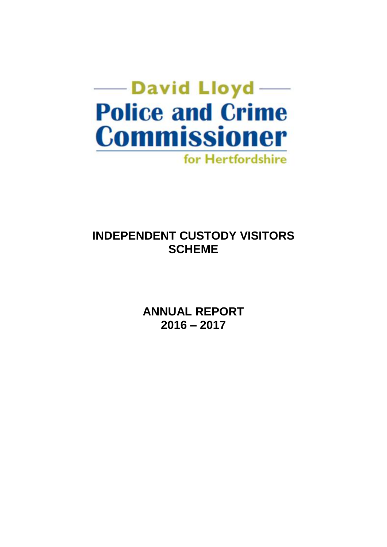

# **INDEPENDENT CUSTODY VISITORS SCHEME**

**ANNUAL REPORT 2016 – 2017**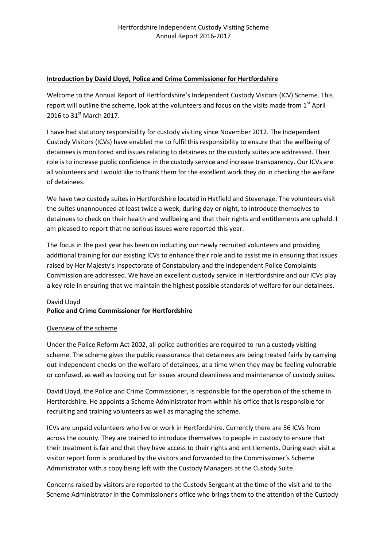#### **Introduction by David Lloyd, Police and Crime Commissioner for Hertfordshire**

Welcome to the Annual Report of Hertfordshire's Independent Custody Visitors (ICV) Scheme. This report will outline the scheme, look at the volunteers and focus on the visits made from 1<sup>st</sup> April 2016 to  $31^{\text{st}}$  March 2017.

I have had statutory responsibility for custody visiting since November 2012. The Independent Custody Visitors (ICVs) have enabled me to fulfil this responsibility to ensure that the wellbeing of detainees is monitored and issues relating to detainees or the custody suites are addressed. Their role is to increase public confidence in the custody service and increase transparency. Our ICVs are all volunteers and I would like to thank them for the excellent work they do in checking the welfare of detainees.

We have two custody suites in Hertfordshire located in Hatfield and Stevenage. The volunteers visit the suites unannounced at least twice a week, during day or night, to introduce themselves to detainees to check on their health and wellbeing and that their rights and entitlements are upheld. I am pleased to report that no serious issues were reported this year.

The focus in the past year has been on inducting our newly recruited volunteers and providing additional training for our existing ICVs to enhance their role and to assist me in ensuring that issues raised by Her Majesty's Inspectorate of Constabulary and the Independent Police Complaints Commission are addressed. We have an excellent custody service in Hertfordshire and our ICVs play a key role in ensuring that we maintain the highest possible standards of welfare for our detainees.

## David Lloyd **Police and Crime Commissioner for Hertfordshire**

### Overview of the scheme

Under the Police Reform Act 2002, all police authorities are required to run a custody visiting scheme. The scheme gives the public reassurance that detainees are being treated fairly by carrying out independent checks on the welfare of detainees, at a time when they may be feeling vulnerable or confused, as well as looking out for issues around cleanliness and maintenance of custody suites.

David Lloyd, the Police and Crime Commissioner, is responsible for the operation of the scheme in Hertfordshire. He appoints a Scheme Administrator from within his office that is responsible for recruiting and training volunteers as well as managing the scheme.

ICVs are unpaid volunteers who live or work in Hertfordshire. Currently there are 56 ICVs from across the county. They are trained to introduce themselves to people in custody to ensure that their treatment is fair and that they have access to their rights and entitlements. During each visit a visitor report form is produced by the visitors and forwarded to the Commissioner's Scheme Administrator with a copy being left with the Custody Managers at the Custody Suite.

Concerns raised by visitors are reported to the Custody Sergeant at the time of the visit and to the Scheme Administrator in the Commissioner's office who brings them to the attention of the Custody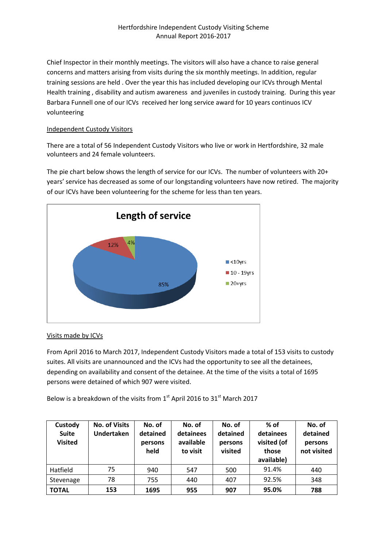Chief Inspector in their monthly meetings. The visitors will also have a chance to raise general concerns and matters arising from visits during the six monthly meetings. In addition, regular training sessions are held . Over the year this has included developing our ICVs through Mental Health training , disability and autism awareness and juveniles in custody training. During this year Barbara Funnell one of our ICVs received her long service award for 10 years continuos ICV volunteering

#### Independent Custody Visitors

There are a total of 56 Independent Custody Visitors who live or work in Hertfordshire, 32 male volunteers and 24 female volunteers.

The pie chart below shows the length of service for our ICVs. The number of volunteers with 20+ years' service has decreased as some of our longstanding volunteers have now retired. The majority of our ICVs have been volunteering for the scheme for less than ten years.



### Visits made by ICVs

From April 2016 to March 2017, Independent Custody Visitors made a total of 153 visits to custody suites. All visits are unannounced and the ICVs had the opportunity to see all the detainees, depending on availability and consent of the detainee. At the time of the visits a total of 1695 persons were detained of which 907 were visited.

Below is a breakdown of the visits from  $1<sup>st</sup>$  April 2016 to  $31<sup>st</sup>$  March 2017

| Custody<br><b>Suite</b><br><b>Visited</b> | <b>No. of Visits</b><br><b>Undertaken</b> | No. of<br>detained<br>persons<br>held | No. of<br>detainees<br>available<br>to visit | No. of<br>detained<br>persons<br>visited | $%$ of<br>detainees<br>visited (of<br>those<br>available) | No. of<br>detained<br>persons<br>not visited |
|-------------------------------------------|-------------------------------------------|---------------------------------------|----------------------------------------------|------------------------------------------|-----------------------------------------------------------|----------------------------------------------|
| Hatfield                                  | 75                                        | 940                                   | 547                                          | 500                                      | 91.4%                                                     | 440                                          |
| Stevenage                                 | 78                                        | 755                                   | 440                                          | 407                                      | 92.5%                                                     | 348                                          |
| <b>TOTAL</b>                              | 153                                       | 1695                                  | 955                                          | 907                                      | 95.0%                                                     | 788                                          |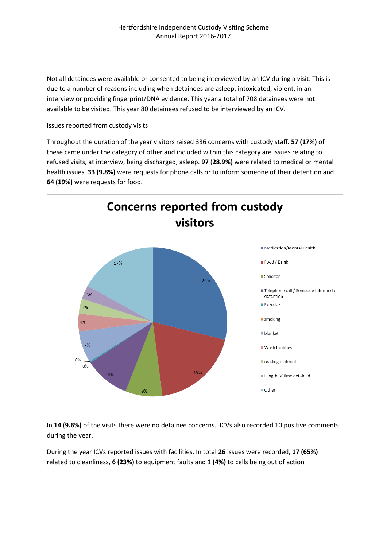Not all detainees were available or consented to being interviewed by an ICV during a visit. This is due to a number of reasons including when detainees are asleep, intoxicated, violent, in an interview or providing fingerprint/DNA evidence. This year a total of 708 detainees were not available to be visited. This year 80 detainees refused to be interviewed by an ICV.

#### Issues reported from custody visits

Throughout the duration of the year visitors raised 336 concerns with custody staff. **57 (17%)** of these came under the category of other and included within this category are issues relating to refused visits, at interview, being discharged, asleep. **97** (**28.9%)** were related to medical or mental health issues. **33 (9.8%)** were requests for phone calls or to inform someone of their detention and **64 (19%)** were requests for food.



In **14** (**9.6%)** of the visits there were no detainee concerns. ICVs also recorded 10 positive comments during the year.

During the year ICVs reported issues with facilities. In total **26** issues were recorded, **17 (65%)** related to cleanliness, **6 (23%)** to equipment faults and 1 **(4%)** to cells being out of action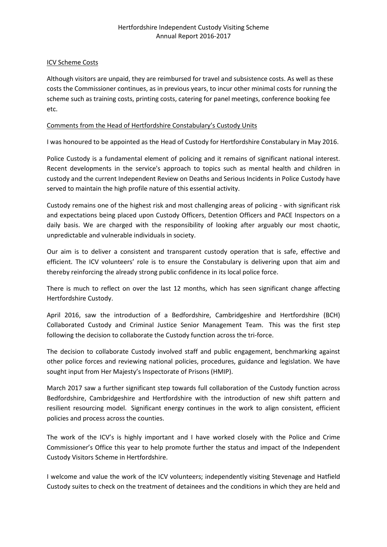#### ICV Scheme Costs

Although visitors are unpaid, they are reimbursed for travel and subsistence costs. As well as these costs the Commissioner continues, as in previous years, to incur other minimal costs for running the scheme such as training costs, printing costs, catering for panel meetings, conference booking fee etc.

#### Comments from the Head of Hertfordshire Constabulary's Custody Units

I was honoured to be appointed as the Head of Custody for Hertfordshire Constabulary in May 2016.

Police Custody is a fundamental element of policing and it remains of significant national interest. Recent developments in the service's approach to topics such as mental health and children in custody and the current Independent Review on Deaths and Serious Incidents in Police Custody have served to maintain the high profile nature of this essential activity.

Custody remains one of the highest risk and most challenging areas of policing - with significant risk and expectations being placed upon Custody Officers, Detention Officers and PACE Inspectors on a daily basis. We are charged with the responsibility of looking after arguably our most chaotic, unpredictable and vulnerable individuals in society.

Our aim is to deliver a consistent and transparent custody operation that is safe, effective and efficient. The ICV volunteers' role is to ensure the Constabulary is delivering upon that aim and thereby reinforcing the already strong public confidence in its local police force.

There is much to reflect on over the last 12 months, which has seen significant change affecting Hertfordshire Custody.

April 2016, saw the introduction of a Bedfordshire, Cambridgeshire and Hertfordshire (BCH) Collaborated Custody and Criminal Justice Senior Management Team. This was the first step following the decision to collaborate the Custody function across the tri-force.

The decision to collaborate Custody involved staff and public engagement, benchmarking against other police forces and reviewing national policies, procedures, guidance and legislation. We have sought input from Her Majesty's Inspectorate of Prisons (HMIP).

March 2017 saw a further significant step towards full collaboration of the Custody function across Bedfordshire, Cambridgeshire and Hertfordshire with the introduction of new shift pattern and resilient resourcing model. Significant energy continues in the work to align consistent, efficient policies and process across the counties.

The work of the ICV's is highly important and I have worked closely with the Police and Crime Commissioner's Office this year to help promote further the status and impact of the Independent Custody Visitors Scheme in Hertfordshire.

I welcome and value the work of the ICV volunteers; independently visiting Stevenage and Hatfield Custody suites to check on the treatment of detainees and the conditions in which they are held and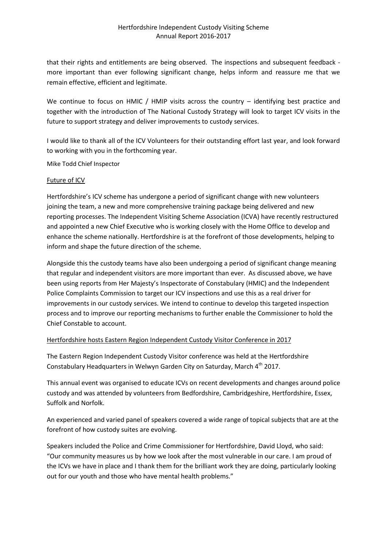that their rights and entitlements are being observed. The inspections and subsequent feedback more important than ever following significant change, helps inform and reassure me that we remain effective, efficient and legitimate.

We continue to focus on HMIC / HMIP visits across the country – identifying best practice and together with the introduction of The National Custody Strategy will look to target ICV visits in the future to support strategy and deliver improvements to custody services.

I would like to thank all of the ICV Volunteers for their outstanding effort last year, and look forward to working with you in the forthcoming year.

Mike Todd Chief Inspector

#### Future of ICV

Hertfordshire's ICV scheme has undergone a period of significant change with new volunteers joining the team, a new and more comprehensive training package being delivered and new reporting processes. The Independent Visiting Scheme Association (ICVA) have recently restructured and appointed a new Chief Executive who is working closely with the Home Office to develop and enhance the scheme nationally. Hertfordshire is at the forefront of those developments, helping to inform and shape the future direction of the scheme.

Alongside this the custody teams have also been undergoing a period of significant change meaning that regular and independent visitors are more important than ever. As discussed above, we have been using reports from Her Majesty's Inspectorate of Constabulary (HMIC) and the Independent Police Complaints Commission to target our ICV inspections and use this as a real driver for improvements in our custody services. We intend to continue to develop this targeted inspection process and to improve our reporting mechanisms to further enable the Commissioner to hold the Chief Constable to account.

### Hertfordshire hosts Eastern Region Independent Custody Visitor Conference in 2017

The Eastern Region Independent Custody Visitor conference was held at the Hertfordshire Constabulary Headquarters in Welwyn Garden City on Saturday, March 4<sup>th</sup> 2017.

This annual event was organised to educate ICVs on recent developments and changes around police custody and was attended by volunteers from Bedfordshire, Cambridgeshire, Hertfordshire, Essex, Suffolk and Norfolk.

An experienced and varied panel of speakers covered a wide range of topical subjects that are at the forefront of how custody suites are evolving.

Speakers included the Police and Crime Commissioner for Hertfordshire, David Lloyd, who said: "Our community measures us by how we look after the most vulnerable in our care. I am proud of the ICVs we have in place and I thank them for the brilliant work they are doing, particularly looking out for our youth and those who have mental health problems."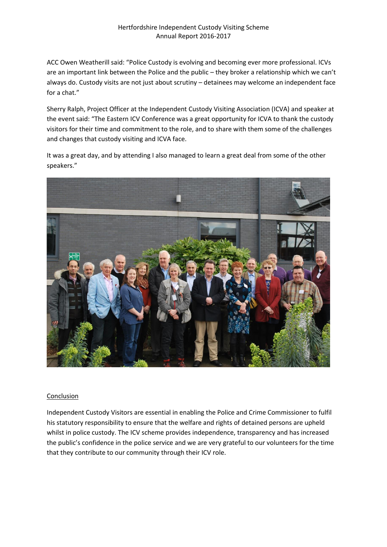### Hertfordshire Independent Custody Visiting Scheme Annual Report 2016-2017

ACC Owen Weatherill said: "Police Custody is evolving and becoming ever more professional. ICVs are an important link between the Police and the public – they broker a relationship which we can't always do. Custody visits are not just about scrutiny – detainees may welcome an independent face for a chat."

Sherry Ralph, Project Officer at the Independent Custody Visiting Association (ICVA) and speaker at the event said: "The Eastern ICV Conference was a great opportunity for ICVA to thank the custody visitors for their time and commitment to the role, and to share with them some of the challenges and changes that custody visiting and ICVA face.

It was a great day, and by attending I also managed to learn a great deal from some of the other speakers."



#### Conclusion

Independent Custody Visitors are essential in enabling the Police and Crime Commissioner to fulfil his statutory responsibility to ensure that the welfare and rights of detained persons are upheld whilst in police custody. The ICV scheme provides independence, transparency and has increased the public's confidence in the police service and we are very grateful to our volunteers for the time that they contribute to our community through their ICV role.